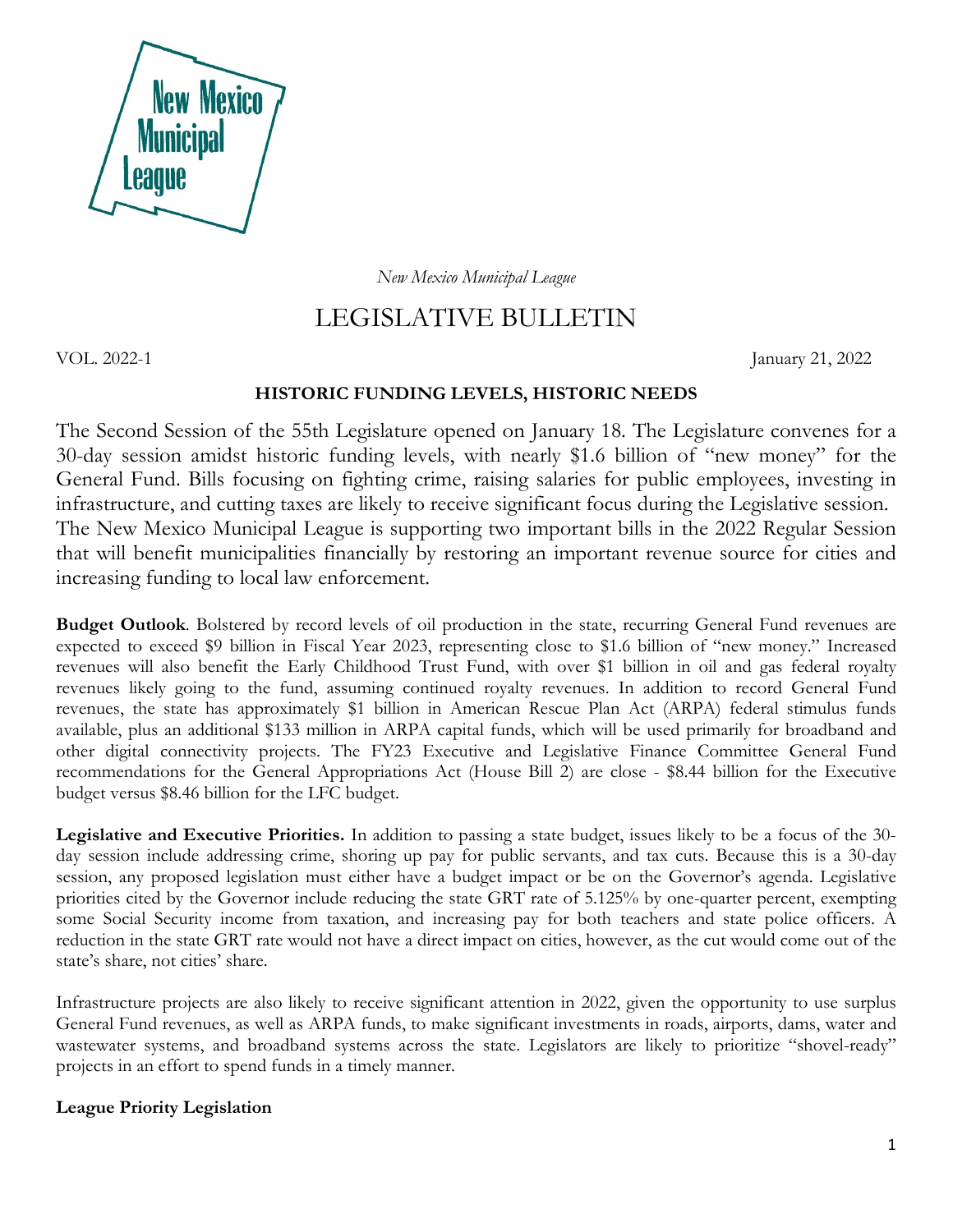

*New Mexico Municipal League*

# LEGISLATIVE BULLETIN

VOL. 2022-1 January 21, 2022

# **HISTORIC FUNDING LEVELS, HISTORIC NEEDS**

The Second Session of the 55th Legislature opened on January 18. The Legislature convenes for a 30-day session amidst historic funding levels, with nearly \$1.6 billion of "new money" for the General Fund. Bills focusing on fighting crime, raising salaries for public employees, investing in infrastructure, and cutting taxes are likely to receive significant focus during the Legislative session. The New Mexico Municipal League is supporting two important bills in the 2022 Regular Session that will benefit municipalities financially by restoring an important revenue source for cities and increasing funding to local law enforcement.

**Budget Outlook**. Bolstered by record levels of oil production in the state, recurring General Fund revenues are expected to exceed \$9 billion in Fiscal Year 2023, representing close to \$1.6 billion of "new money." Increased revenues will also benefit the Early Childhood Trust Fund, with over \$1 billion in oil and gas federal royalty revenues likely going to the fund, assuming continued royalty revenues. In addition to record General Fund revenues, the state has approximately \$1 billion in American Rescue Plan Act (ARPA) federal stimulus funds available, plus an additional \$133 million in ARPA capital funds, which will be used primarily for broadband and other digital connectivity projects. The FY23 Executive and Legislative Finance Committee General Fund recommendations for the General Appropriations Act (House Bill 2) are close - \$8.44 billion for the Executive budget versus \$8.46 billion for the LFC budget.

**Legislative and Executive Priorities.** In addition to passing a state budget, issues likely to be a focus of the 30 day session include addressing crime, shoring up pay for public servants, and tax cuts. Because this is a 30-day session, any proposed legislation must either have a budget impact or be on the Governor's agenda. Legislative priorities cited by the Governor include reducing the state GRT rate of 5.125% by one-quarter percent, exempting some Social Security income from taxation, and increasing pay for both teachers and state police officers. A reduction in the state GRT rate would not have a direct impact on cities, however, as the cut would come out of the state's share, not cities' share.

Infrastructure projects are also likely to receive significant attention in 2022, given the opportunity to use surplus General Fund revenues, as well as ARPA funds, to make significant investments in roads, airports, dams, water and wastewater systems, and broadband systems across the state. Legislators are likely to prioritize "shovel-ready" projects in an effort to spend funds in a timely manner.

## **League Priority Legislation**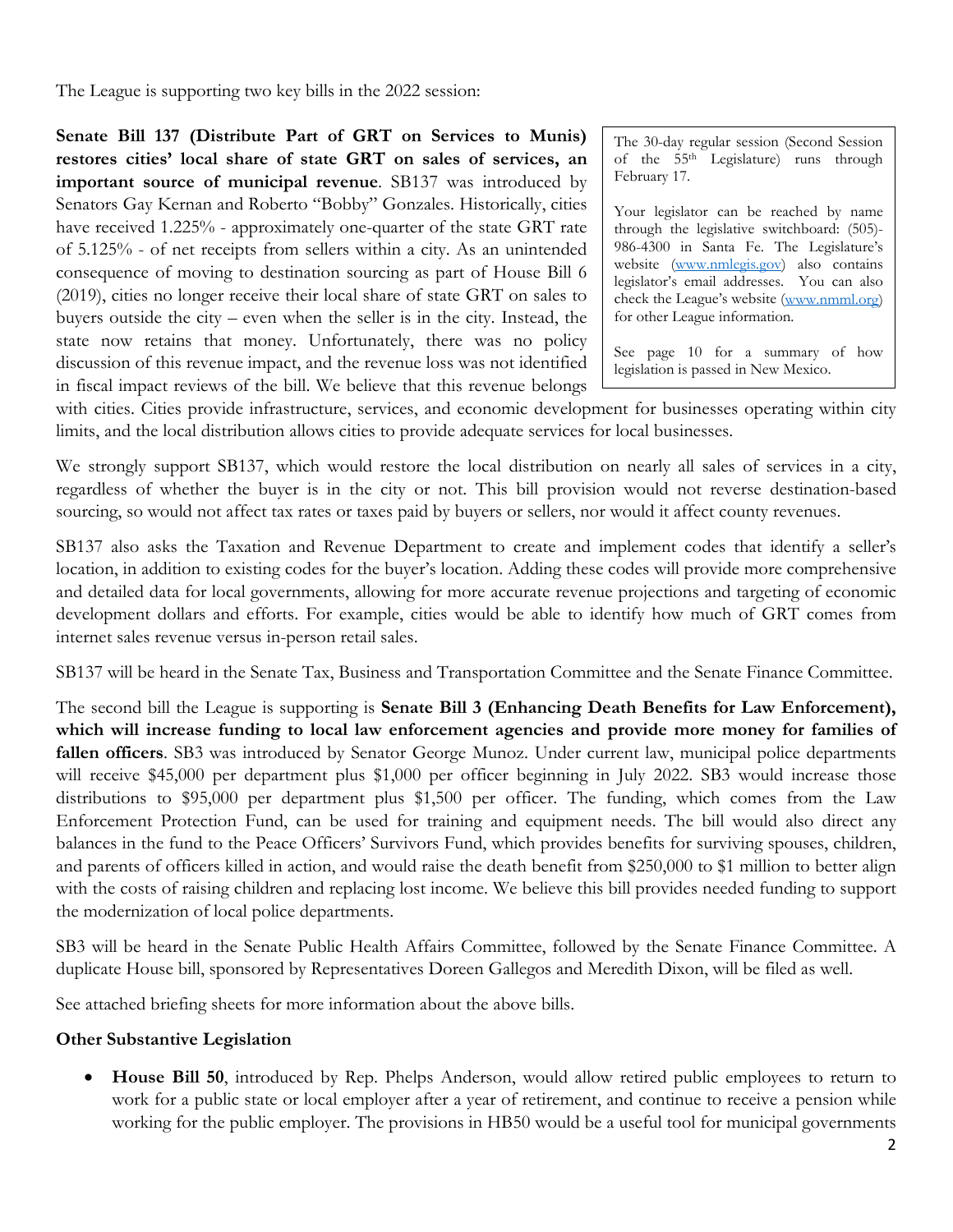The League is supporting two key bills in the 2022 session:

**Senate Bill 137 (Distribute Part of GRT on Services to Munis) restores cities' local share of state GRT on sales of services, an important source of municipal revenue**. SB137 was introduced by Senators Gay Kernan and Roberto "Bobby" Gonzales. Historically, cities have received 1.225% - approximately one-quarter of the state GRT rate of 5.125% - of net receipts from sellers within a city. As an unintended consequence of moving to destination sourcing as part of House Bill 6 (2019), cities no longer receive their local share of state GRT on sales to buyers outside the city – even when the seller is in the city. Instead, the state now retains that money. Unfortunately, there was no policy discussion of this revenue impact, and the revenue loss was not identified in fiscal impact reviews of the bill. We believe that this revenue belongs

The 30-day regular session (Second Session of the 55th Legislature) runs through February 17.

Your legislator can be reached by name through the legislative switchboard: (505)- 986-4300 in Santa Fe. The Legislature's website [\(www.nmlegis.gov\)](http://www.nmlegis.gov/) also contains legislator's email addresses. You can also check the League's website [\(www.nmml.org\)](http://www.nmml.org/) for other League information.

See page 10 for a summary of how legislation is passed in New Mexico.

with cities. Cities provide infrastructure, services, and economic development for businesses operating within city limits, and the local distribution allows cities to provide adequate services for local businesses.

We strongly support SB137, which would restore the local distribution on nearly all sales of services in a city, regardless of whether the buyer is in the city or not. This bill provision would not reverse destination-based sourcing, so would not affect tax rates or taxes paid by buyers or sellers, nor would it affect county revenues.

SB137 also asks the Taxation and Revenue Department to create and implement codes that identify a seller's location, in addition to existing codes for the buyer's location. Adding these codes will provide more comprehensive and detailed data for local governments, allowing for more accurate revenue projections and targeting of economic development dollars and efforts. For example, cities would be able to identify how much of GRT comes from internet sales revenue versus in-person retail sales.

SB137 will be heard in the Senate Tax, Business and Transportation Committee and the Senate Finance Committee.

The second bill the League is supporting is **Senate Bill 3 (Enhancing Death Benefits for Law Enforcement), which will increase funding to local law enforcement agencies and provide more money for families of fallen officers**. SB3 was introduced by Senator George Munoz. Under current law, municipal police departments will receive \$45,000 per department plus \$1,000 per officer beginning in July 2022. SB3 would increase those distributions to \$95,000 per department plus \$1,500 per officer. The funding, which comes from the Law Enforcement Protection Fund, can be used for training and equipment needs. The bill would also direct any balances in the fund to the Peace Officers' Survivors Fund, which provides benefits for surviving spouses, children, and parents of officers killed in action, and would raise the death benefit from \$250,000 to \$1 million to better align with the costs of raising children and replacing lost income. We believe this bill provides needed funding to support the modernization of local police departments.

SB3 will be heard in the Senate Public Health Affairs Committee, followed by the Senate Finance Committee. A duplicate House bill, sponsored by Representatives Doreen Gallegos and Meredith Dixon, will be filed as well.

See attached briefing sheets for more information about the above bills.

#### **Other Substantive Legislation**

• **House Bill 50**, introduced by Rep. Phelps Anderson, would allow retired public employees to return to work for a public state or local employer after a year of retirement, and continue to receive a pension while working for the public employer. The provisions in HB50 would be a useful tool for municipal governments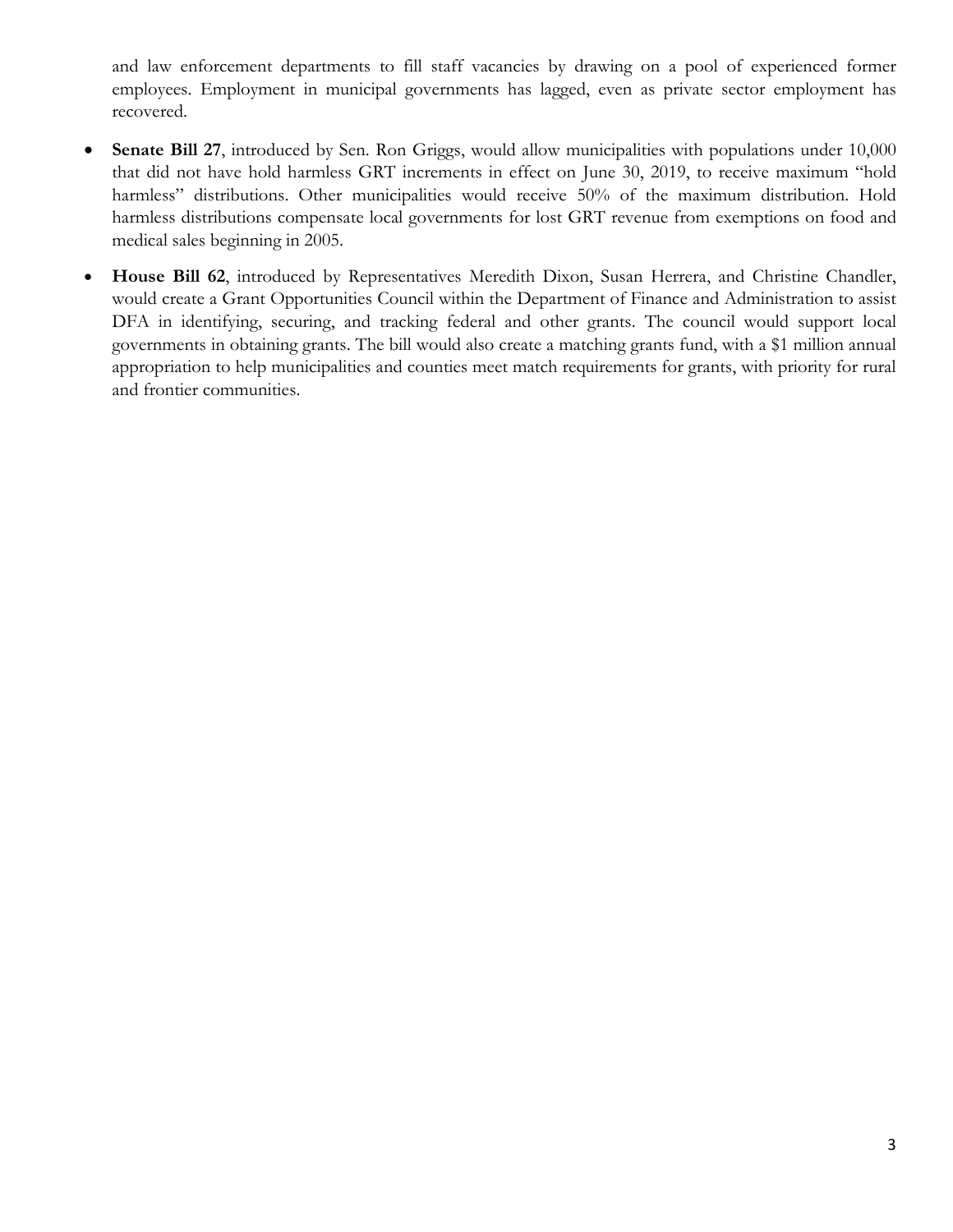and law enforcement departments to fill staff vacancies by drawing on a pool of experienced former employees. Employment in municipal governments has lagged, even as private sector employment has recovered.

- **Senate Bill 27**, introduced by Sen. Ron Griggs, would allow municipalities with populations under 10,000 that did not have hold harmless GRT increments in effect on June 30, 2019, to receive maximum "hold harmless" distributions. Other municipalities would receive 50% of the maximum distribution. Hold harmless distributions compensate local governments for lost GRT revenue from exemptions on food and medical sales beginning in 2005.
- **House Bill 62**, introduced by Representatives Meredith Dixon, Susan Herrera, and Christine Chandler, would create a Grant Opportunities Council within the Department of Finance and Administration to assist DFA in identifying, securing, and tracking federal and other grants. The council would support local governments in obtaining grants. The bill would also create a matching grants fund, with a \$1 million annual appropriation to help municipalities and counties meet match requirements for grants, with priority for rural and frontier communities.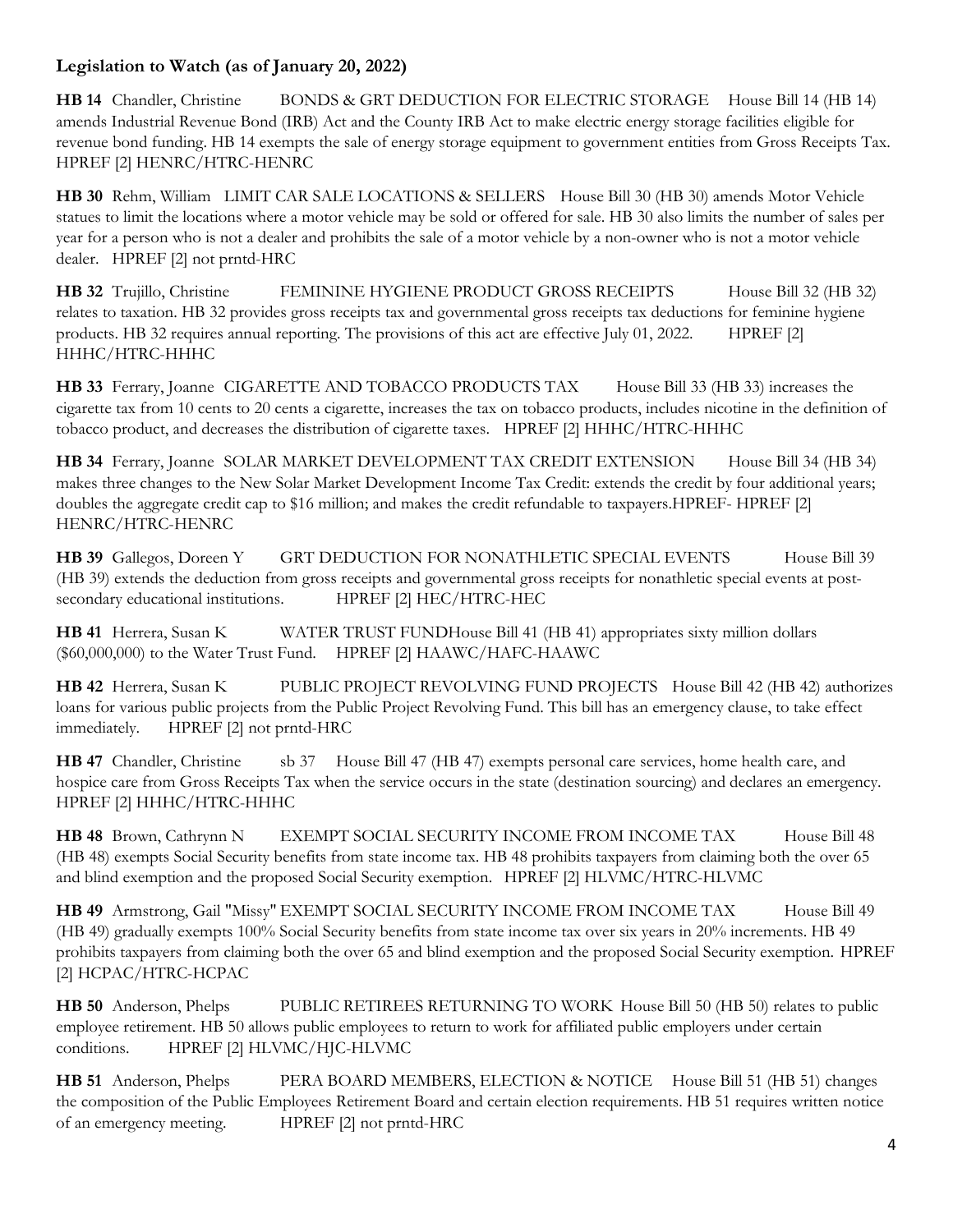# **Legislation to Watch (as of January 20, 2022)**

**HB 14** Chandler, Christine BONDS & GRT DEDUCTION FOR ELECTRIC STORAGE House Bill 14 (HB 14) amends Industrial Revenue Bond (IRB) Act and the County IRB Act to make electric energy storage facilities eligible for revenue bond funding. HB 14 exempts the sale of energy storage equipment to government entities from Gross Receipts Tax. HPREF [2] HENRC/HTRC-HENRC

**HB 30** Rehm, William LIMIT CAR SALE LOCATIONS & SELLERS House Bill 30 (HB 30) amends Motor Vehicle statues to limit the locations where a motor vehicle may be sold or offered for sale. HB 30 also limits the number of sales per year for a person who is not a dealer and prohibits the sale of a motor vehicle by a non-owner who is not a motor vehicle dealer. HPREF [2] not prntd-HRC

**HB 32** Trujillo, Christine FEMININE HYGIENE PRODUCT GROSS RECEIPTS House Bill 32 (HB 32) relates to taxation. HB 32 provides gross receipts tax and governmental gross receipts tax deductions for feminine hygiene products. HB 32 requires annual reporting. The provisions of this act are effective July 01, 2022. HPREF [2] HHHC/HTRC-HHHC

**HB 33** Ferrary, Joanne CIGARETTE AND TOBACCO PRODUCTS TAX House Bill 33 (HB 33) increases the cigarette tax from 10 cents to 20 cents a cigarette, increases the tax on tobacco products, includes nicotine in the definition of tobacco product, and decreases the distribution of cigarette taxes. HPREF [2] HHHC/HTRC-HHHC

**HB 34** Ferrary, Joanne SOLAR MARKET DEVELOPMENT TAX CREDIT EXTENSION House Bill 34 (HB 34) makes three changes to the New Solar Market Development Income Tax Credit: extends the credit by four additional years; doubles the aggregate credit cap to \$16 million; and makes the credit refundable to taxpayers.HPREF- HPREF [2] HENRC/HTRC-HENRC

**HB 39** Gallegos, Doreen Y GRT DEDUCTION FOR NONATHLETIC SPECIAL EVENTS House Bill 39 (HB 39) extends the deduction from gross receipts and governmental gross receipts for nonathletic special events at postsecondary educational institutions. HPREF [2] HEC/HTRC-HEC

**HB 41** Herrera, Susan K WATER TRUST FUNDHouse Bill 41 (HB 41) appropriates sixty million dollars (\$60,000,000) to the Water Trust Fund. HPREF [2] HAAWC/HAFC-HAAWC

**HB 42** Herrera, Susan K PUBLIC PROJECT REVOLVING FUND PROJECTS House Bill 42 (HB 42) authorizes loans for various public projects from the Public Project Revolving Fund. This bill has an emergency clause, to take effect immediately. HPREF [2] not prntd-HRC

**HB 47** Chandler, Christine sb 37 House Bill 47 (HB 47) exempts personal care services, home health care, and hospice care from Gross Receipts Tax when the service occurs in the state (destination sourcing) and declares an emergency. HPREF [2] HHHC/HTRC-HHHC

**HB 48** Brown, Cathrynn N EXEMPT SOCIAL SECURITY INCOME FROM INCOME TAX House Bill 48 (HB 48) exempts Social Security benefits from state income tax. HB 48 prohibits taxpayers from claiming both the over 65 and blind exemption and the proposed Social Security exemption. HPREF [2] HLVMC/HTRC-HLVMC

**HB 49** Armstrong, Gail "Missy" EXEMPT SOCIAL SECURITY INCOME FROM INCOME TAX House Bill 49 (HB 49) gradually exempts 100% Social Security benefits from state income tax over six years in 20% increments. HB 49 prohibits taxpayers from claiming both the over 65 and blind exemption and the proposed Social Security exemption. HPREF [2] HCPAC/HTRC-HCPAC

**HB 50** Anderson, Phelps PUBLIC RETIREES RETURNING TO WORK House Bill 50 (HB 50) relates to public employee retirement. HB 50 allows public employees to return to work for affiliated public employers under certain conditions. HPREF [2] HLVMC/HJC-HLVMC

**HB 51** Anderson, Phelps PERA BOARD MEMBERS, ELECTION & NOTICE House Bill 51 (HB 51) changes the composition of the Public Employees Retirement Board and certain election requirements. HB 51 requires written notice of an emergency meeting. HPREF [2] not prntd-HRC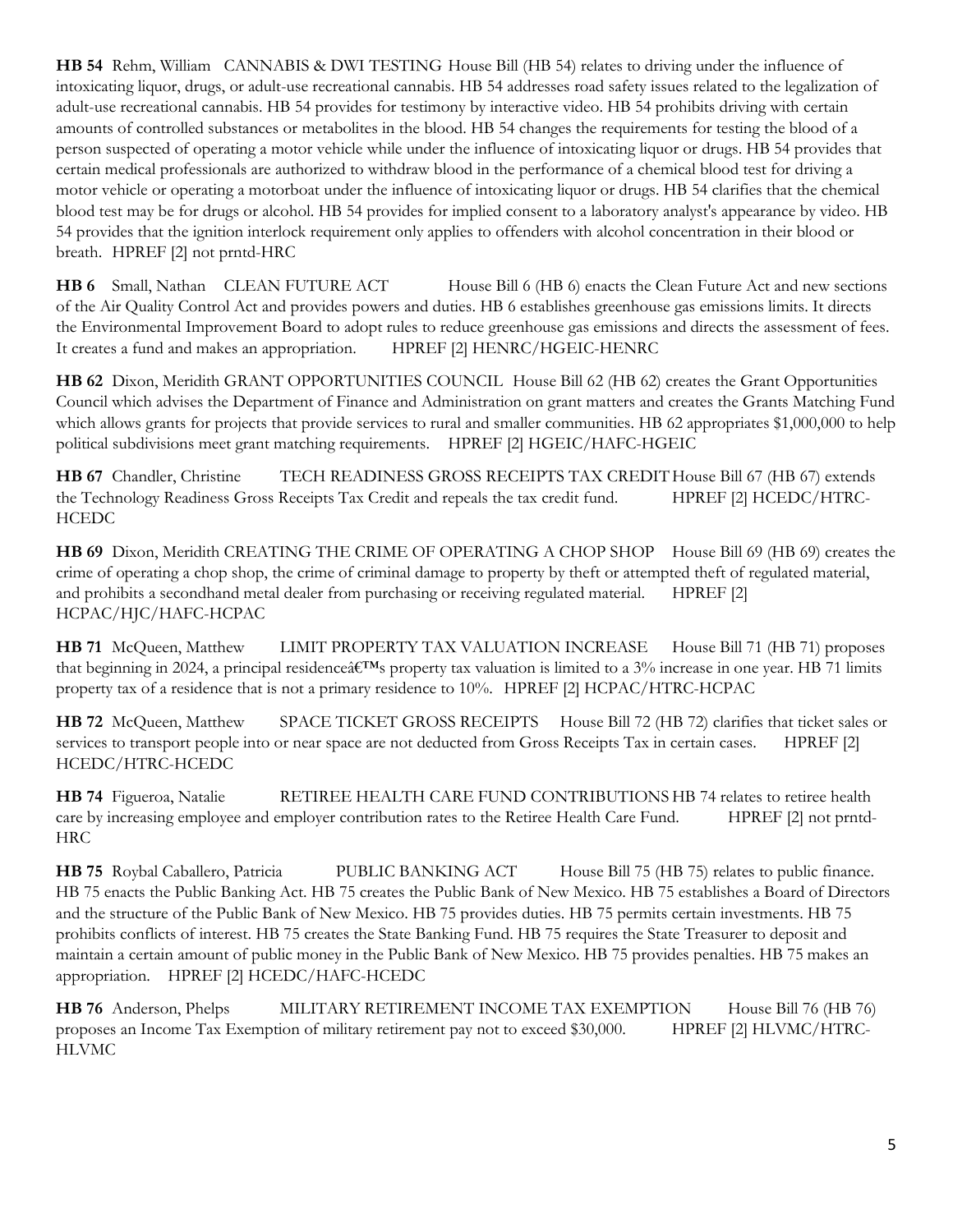**HB 54** Rehm, William CANNABIS & DWI TESTING House Bill (HB 54) relates to driving under the influence of intoxicating liquor, drugs, or adult-use recreational cannabis. HB 54 addresses road safety issues related to the legalization of adult-use recreational cannabis. HB 54 provides for testimony by interactive video. HB 54 prohibits driving with certain amounts of controlled substances or metabolites in the blood. HB 54 changes the requirements for testing the blood of a person suspected of operating a motor vehicle while under the influence of intoxicating liquor or drugs. HB 54 provides that certain medical professionals are authorized to withdraw blood in the performance of a chemical blood test for driving a motor vehicle or operating a motorboat under the influence of intoxicating liquor or drugs. HB 54 clarifies that the chemical blood test may be for drugs or alcohol. HB 54 provides for implied consent to a laboratory analyst's appearance by video. HB 54 provides that the ignition interlock requirement only applies to offenders with alcohol concentration in their blood or breath. HPREF [2] not prntd-HRC

**HB 6** Small, Nathan CLEAN FUTURE ACT House Bill 6 (HB 6) enacts the Clean Future Act and new sections of the Air Quality Control Act and provides powers and duties. HB 6 establishes greenhouse gas emissions limits. It directs the Environmental Improvement Board to adopt rules to reduce greenhouse gas emissions and directs the assessment of fees. It creates a fund and makes an appropriation. HPREF [2] HENRC/HGEIC-HENRC

**HB 62** Dixon, Meridith GRANT OPPORTUNITIES COUNCIL House Bill 62 (HB 62) creates the Grant Opportunities Council which advises the Department of Finance and Administration on grant matters and creates the Grants Matching Fund which allows grants for projects that provide services to rural and smaller communities. HB 62 appropriates \$1,000,000 to help political subdivisions meet grant matching requirements. HPREF [2] HGEIC/HAFC-HGEIC

**HB 67** Chandler, Christine TECH READINESS GROSS RECEIPTS TAX CREDITHouse Bill 67 (HB 67) extends the Technology Readiness Gross Receipts Tax Credit and repeals the tax credit fund. HPREF [2] HCEDC/HTRC-**HCEDC** 

**HB 69** Dixon, Meridith CREATING THE CRIME OF OPERATING A CHOP SHOP House Bill 69 (HB 69) creates the crime of operating a chop shop, the crime of criminal damage to property by theft or attempted theft of regulated material, and prohibits a secondhand metal dealer from purchasing or receiving regulated material. HPREF [2] HCPAC/HJC/HAFC-HCPAC

**HB 71** McQueen, Matthew LIMIT PROPERTY TAX VALUATION INCREASE House Bill 71 (HB 71) proposes that beginning in 2024, a principal residence  $\hat{a} \in T^M$ s property tax valuation is limited to a 3% increase in one year. HB 71 limits property tax of a residence that is not a primary residence to 10%. HPREF [2] HCPAC/HTRC-HCPAC

**HB 72** McQueen, Matthew SPACE TICKET GROSS RECEIPTS House Bill 72 (HB 72) clarifies that ticket sales or services to transport people into or near space are not deducted from Gross Receipts Tax in certain cases. HPREF [2] HCEDC/HTRC-HCEDC

**HB 74** Figueroa, Natalie RETIREE HEALTH CARE FUND CONTRIBUTIONS HB 74 relates to retiree health care by increasing employee and employer contribution rates to the Retiree Health Care Fund. HPREF [2] not prntd-HRC

**HB 75** Roybal Caballero, Patricia PUBLIC BANKING ACT House Bill 75 (HB 75) relates to public finance. HB 75 enacts the Public Banking Act. HB 75 creates the Public Bank of New Mexico. HB 75 establishes a Board of Directors and the structure of the Public Bank of New Mexico. HB 75 provides duties. HB 75 permits certain investments. HB 75 prohibits conflicts of interest. HB 75 creates the State Banking Fund. HB 75 requires the State Treasurer to deposit and maintain a certain amount of public money in the Public Bank of New Mexico. HB 75 provides penalties. HB 75 makes an appropriation. HPREF [2] HCEDC/HAFC-HCEDC

**HB 76** Anderson, Phelps MILITARY RETIREMENT INCOME TAX EXEMPTION House Bill 76 (HB 76) proposes an Income Tax Exemption of military retirement pay not to exceed \$30,000. HPREF [2] HLVMC/HTRC-HLVMC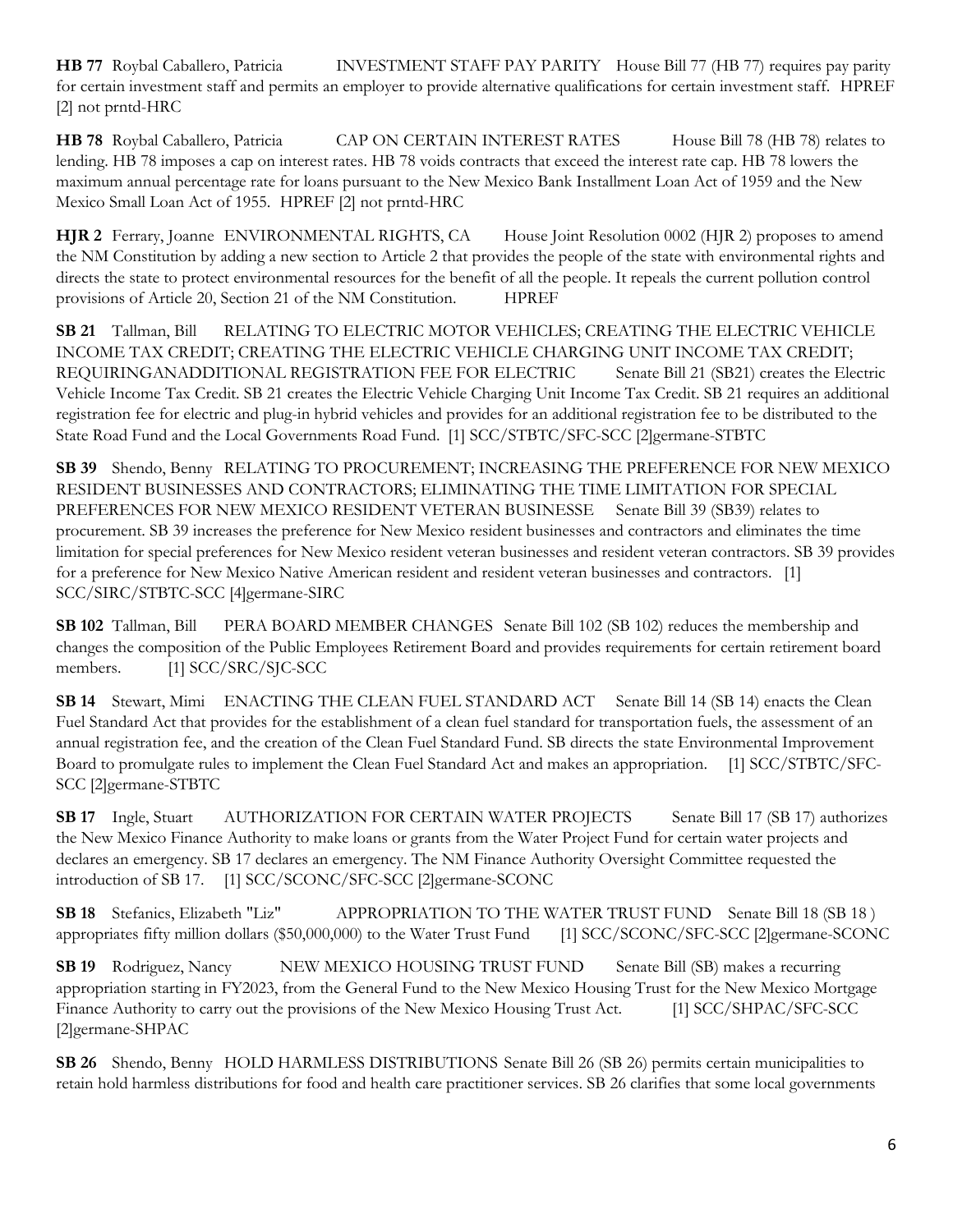**HB 77** Roybal Caballero, Patricia INVESTMENT STAFF PAY PARITY House Bill 77 (HB 77) requires pay parity for certain investment staff and permits an employer to provide alternative qualifications for certain investment staff. HPREF [2] not prntd-HRC

**HB** 78 Roybal Caballero, Patricia CAP ON CERTAIN INTEREST RATES House Bill 78 (HB 78) relates to lending. HB 78 imposes a cap on interest rates. HB 78 voids contracts that exceed the interest rate cap. HB 78 lowers the maximum annual percentage rate for loans pursuant to the New Mexico Bank Installment Loan Act of 1959 and the New Mexico Small Loan Act of 1955. HPREF [2] not prntd-HRC

**HJR 2** Ferrary, Joanne ENVIRONMENTAL RIGHTS, CA House Joint Resolution 0002 (HJR 2) proposes to amend the NM Constitution by adding a new section to Article 2 that provides the people of the state with environmental rights and directs the state to protect environmental resources for the benefit of all the people. It repeals the current pollution control provisions of Article 20, Section 21 of the NM Constitution. HPREF

**SB 21** Tallman, Bill RELATING TO ELECTRIC MOTOR VEHICLES; CREATING THE ELECTRIC VEHICLE INCOME TAX CREDIT; CREATING THE ELECTRIC VEHICLE CHARGING UNIT INCOME TAX CREDIT; REQUIRINGANADDITIONAL REGISTRATION FEE FOR ELECTRIC Senate Bill 21 (SB21) creates the Electric Vehicle Income Tax Credit. SB 21 creates the Electric Vehicle Charging Unit Income Tax Credit. SB 21 requires an additional registration fee for electric and plug-in hybrid vehicles and provides for an additional registration fee to be distributed to the State Road Fund and the Local Governments Road Fund. [1] SCC/STBTC/SFC-SCC [2]germane-STBTC

**SB 39** Shendo, Benny RELATING TO PROCUREMENT; INCREASING THE PREFERENCE FOR NEW MEXICO RESIDENT BUSINESSES AND CONTRACTORS; ELIMINATING THE TIME LIMITATION FOR SPECIAL PREFERENCES FOR NEW MEXICO RESIDENT VETERAN BUSINESSE Senate Bill 39 (SB39) relates to procurement. SB 39 increases the preference for New Mexico resident businesses and contractors and eliminates the time limitation for special preferences for New Mexico resident veteran businesses and resident veteran contractors. SB 39 provides for a preference for New Mexico Native American resident and resident veteran businesses and contractors. [1] SCC/SIRC/STBTC-SCC [4]germane-SIRC

**SB 102** Tallman, Bill PERA BOARD MEMBER CHANGES Senate Bill 102 (SB 102) reduces the membership and changes the composition of the Public Employees Retirement Board and provides requirements for certain retirement board members. [1] SCC/SRC/SJC-SCC

**SB 14** Stewart, Mimi ENACTING THE CLEAN FUEL STANDARD ACT Senate Bill 14 (SB 14) enacts the Clean Fuel Standard Act that provides for the establishment of a clean fuel standard for transportation fuels, the assessment of an annual registration fee, and the creation of the Clean Fuel Standard Fund. SB directs the state Environmental Improvement Board to promulgate rules to implement the Clean Fuel Standard Act and makes an appropriation. [1] SCC/STBTC/SFC-SCC [2]germane-STBTC

**SB 17** Ingle, Stuart AUTHORIZATION FOR CERTAIN WATER PROJECTS Senate Bill 17 (SB 17) authorizes the New Mexico Finance Authority to make loans or grants from the Water Project Fund for certain water projects and declares an emergency. SB 17 declares an emergency. The NM Finance Authority Oversight Committee requested the introduction of SB 17. [1] SCC/SCONC/SFC-SCC [2]germane-SCONC

**SB 18** Stefanics, Elizabeth "Liz" APPROPRIATION TO THE WATER TRUST FUND Senate Bill 18 (SB 18 ) appropriates fifty million dollars (\$50,000,000) to the Water Trust Fund [1] SCC/SCONC/SFC-SCC [2]germane-SCONC

**SB 19** Rodriguez, Nancy NEW MEXICO HOUSING TRUST FUND Senate Bill (SB) makes a recurring appropriation starting in FY2023, from the General Fund to the New Mexico Housing Trust for the New Mexico Mortgage Finance Authority to carry out the provisions of the New Mexico Housing Trust Act. [1] SCC/SHPAC/SFC-SCC [2]germane-SHPAC

**SB 26** Shendo, Benny HOLD HARMLESS DISTRIBUTIONS Senate Bill 26 (SB 26) permits certain municipalities to retain hold harmless distributions for food and health care practitioner services. SB 26 clarifies that some local governments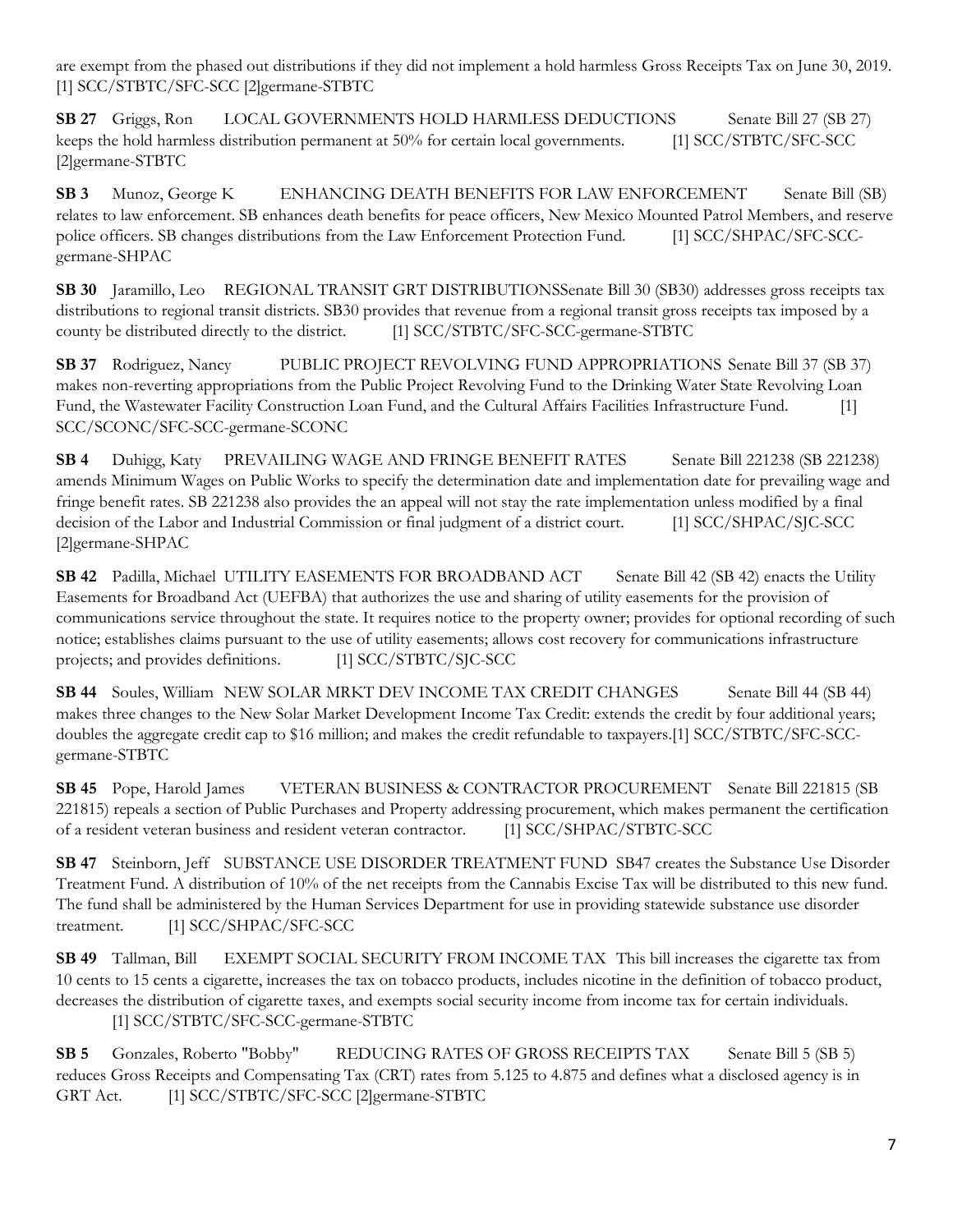are exempt from the phased out distributions if they did not implement a hold harmless Gross Receipts Tax on June 30, 2019. [1] SCC/STBTC/SFC-SCC [2]germane-STBTC

**SB 27** Griggs, Ron LOCAL GOVERNMENTS HOLD HARMLESS DEDUCTIONS Senate Bill 27 (SB 27) keeps the hold harmless distribution permanent at 50% for certain local governments. [1] SCC/STBTC/SFC-SCC [2]germane-STBTC

**SB 3** Munoz, George K ENHANCING DEATH BENEFITS FOR LAW ENFORCEMENT Senate Bill (SB) relates to law enforcement. SB enhances death benefits for peace officers, New Mexico Mounted Patrol Members, and reserve police officers. SB changes distributions from the Law Enforcement Protection Fund. [1] SCC/SHPAC/SFC-SCCgermane-SHPAC

**SB 30** Jaramillo, Leo REGIONAL TRANSIT GRT DISTRIBUTIONSSenate Bill 30 (SB30) addresses gross receipts tax distributions to regional transit districts. SB30 provides that revenue from a regional transit gross receipts tax imposed by a county be distributed directly to the district. [1] SCC/STBTC/SFC-SCC-germane-STBTC

**SB 37** Rodriguez, Nancy PUBLIC PROJECT REVOLVING FUND APPROPRIATIONS Senate Bill 37 (SB 37) makes non-reverting appropriations from the Public Project Revolving Fund to the Drinking Water State Revolving Loan Fund, the Wastewater Facility Construction Loan Fund, and the Cultural Affairs Facilities Infrastructure Fund. [1] SCC/SCONC/SFC-SCC-germane-SCONC

**SB 4** Duhigg, Katy PREVAILING WAGE AND FRINGE BENEFIT RATES Senate Bill 221238 (SB 221238) amends Minimum Wages on Public Works to specify the determination date and implementation date for prevailing wage and fringe benefit rates. SB 221238 also provides the an appeal will not stay the rate implementation unless modified by a final decision of the Labor and Industrial Commission or final judgment of a district court. [1] SCC/SHPAC/SJC-SCC [2]germane-SHPAC

**SB 42** Padilla, Michael UTILITY EASEMENTS FOR BROADBAND ACT Senate Bill 42 (SB 42) enacts the Utility Easements for Broadband Act (UEFBA) that authorizes the use and sharing of utility easements for the provision of communications service throughout the state. It requires notice to the property owner; provides for optional recording of such notice; establishes claims pursuant to the use of utility easements; allows cost recovery for communications infrastructure projects; and provides definitions. [1] SCC/STBTC/SJC-SCC

**SB 44** Soules, William NEW SOLAR MRKT DEV INCOME TAX CREDIT CHANGES Senate Bill 44 (SB 44) makes three changes to the New Solar Market Development Income Tax Credit: extends the credit by four additional years; doubles the aggregate credit cap to \$16 million; and makes the credit refundable to taxpayers.[1] SCC/STBTC/SFC-SCCgermane-STBTC

**SB 45** Pope, Harold James VETERAN BUSINESS & CONTRACTOR PROCUREMENT Senate Bill 221815 (SB 221815) repeals a section of Public Purchases and Property addressing procurement, which makes permanent the certification of a resident veteran business and resident veteran contractor. [1] SCC/SHPAC/STBTC-SCC

**SB 47** Steinborn, Jeff SUBSTANCE USE DISORDER TREATMENT FUND SB47 creates the Substance Use Disorder Treatment Fund. A distribution of 10% of the net receipts from the Cannabis Excise Tax will be distributed to this new fund. The fund shall be administered by the Human Services Department for use in providing statewide substance use disorder treatment. [1] SCC/SHPAC/SFC-SCC

**SB 49** Tallman, Bill EXEMPT SOCIAL SECURITY FROM INCOME TAX This bill increases the cigarette tax from 10 cents to 15 cents a cigarette, increases the tax on tobacco products, includes nicotine in the definition of tobacco product, decreases the distribution of cigarette taxes, and exempts social security income from income tax for certain individuals. [1] SCC/STBTC/SFC-SCC-germane-STBTC

**SB 5** Gonzales, Roberto "Bobby" REDUCING RATES OF GROSS RECEIPTS TAX Senate Bill 5 (SB 5) reduces Gross Receipts and Compensating Tax (CRT) rates from 5.125 to 4.875 and defines what a disclosed agency is in GRT Act. [1] SCC/STBTC/SFC-SCC [2]germane-STBTC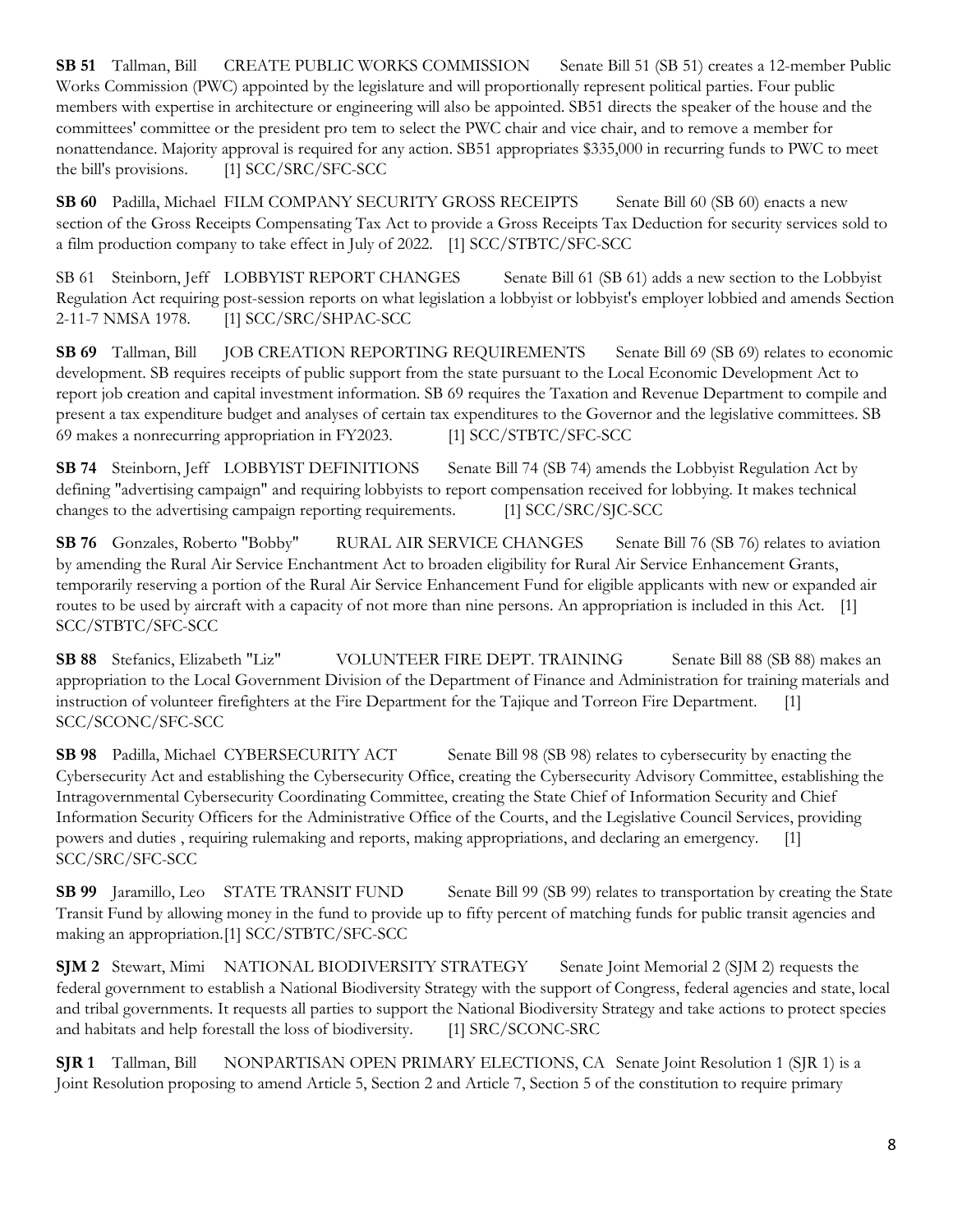**SB 51** Tallman, Bill CREATE PUBLIC WORKS COMMISSION Senate Bill 51 (SB 51) creates a 12-member Public Works Commission (PWC) appointed by the legislature and will proportionally represent political parties. Four public members with expertise in architecture or engineering will also be appointed. SB51 directs the speaker of the house and the committees' committee or the president pro tem to select the PWC chair and vice chair, and to remove a member for nonattendance. Majority approval is required for any action. SB51 appropriates \$335,000 in recurring funds to PWC to meet the bill's provisions. [1] SCC/SRC/SFC-SCC

**SB 60** Padilla, Michael FILM COMPANY SECURITY GROSS RECEIPTS Senate Bill 60 (SB 60) enacts a new section of the Gross Receipts Compensating Tax Act to provide a Gross Receipts Tax Deduction for security services sold to a film production company to take effect in July of 2022. [1] SCC/STBTC/SFC-SCC

SB 61 Steinborn, Jeff LOBBYIST REPORT CHANGES Senate Bill 61 (SB 61) adds a new section to the Lobbyist Regulation Act requiring post-session reports on what legislation a lobbyist or lobbyist's employer lobbied and amends Section 2-11-7 NMSA 1978. [1] SCC/SRC/SHPAC-SCC

**SB 69** Tallman, Bill JOB CREATION REPORTING REQUIREMENTS Senate Bill 69 (SB 69) relates to economic development. SB requires receipts of public support from the state pursuant to the Local Economic Development Act to report job creation and capital investment information. SB 69 requires the Taxation and Revenue Department to compile and present a tax expenditure budget and analyses of certain tax expenditures to the Governor and the legislative committees. SB 69 makes a nonrecurring appropriation in FY2023. [1] SCC/STBTC/SFC-SCC

**SB** 74 Steinborn, Jeff LOBBYIST DEFINITIONS Senate Bill 74 (SB 74) amends the Lobbyist Regulation Act by defining "advertising campaign" and requiring lobbyists to report compensation received for lobbying. It makes technical changes to the advertising campaign reporting requirements. [1] SCC/SRC/SJC-SCC

**SB 76** Gonzales, Roberto "Bobby" RURAL AIR SERVICE CHANGES Senate Bill 76 (SB 76) relates to aviation by amending the Rural Air Service Enchantment Act to broaden eligibility for Rural Air Service Enhancement Grants, temporarily reserving a portion of the Rural Air Service Enhancement Fund for eligible applicants with new or expanded air routes to be used by aircraft with a capacity of not more than nine persons. An appropriation is included in this Act. [1] SCC/STBTC/SFC-SCC

**SB 88** Stefanics, Elizabeth "Liz" VOLUNTEER FIRE DEPT. TRAINING Senate Bill 88 (SB 88) makes an appropriation to the Local Government Division of the Department of Finance and Administration for training materials and instruction of volunteer firefighters at the Fire Department for the Tajique and Torreon Fire Department. [1] SCC/SCONC/SFC-SCC

**SB** 98 Padilla, Michael CYBERSECURITY ACT Senate Bill 98 (SB 98) relates to cybersecurity by enacting the Cybersecurity Act and establishing the Cybersecurity Office, creating the Cybersecurity Advisory Committee, establishing the Intragovernmental Cybersecurity Coordinating Committee, creating the State Chief of Information Security and Chief Information Security Officers for the Administrative Office of the Courts, and the Legislative Council Services, providing powers and duties , requiring rulemaking and reports, making appropriations, and declaring an emergency. [1] SCC/SRC/SFC-SCC

**SB 99** Jaramillo, Leo STATE TRANSIT FUND Senate Bill 99 (SB 99) relates to transportation by creating the State Transit Fund by allowing money in the fund to provide up to fifty percent of matching funds for public transit agencies and making an appropriation.[1] SCC/STBTC/SFC-SCC

**SJM 2** Stewart, Mimi NATIONAL BIODIVERSITY STRATEGY Senate Joint Memorial 2 (SJM 2) requests the federal government to establish a National Biodiversity Strategy with the support of Congress, federal agencies and state, local and tribal governments. It requests all parties to support the National Biodiversity Strategy and take actions to protect species and habitats and help forestall the loss of biodiversity. [1] SRC/SCONC-SRC

**SJR 1** Tallman, Bill NONPARTISAN OPEN PRIMARY ELECTIONS, CA Senate Joint Resolution 1 (SJR 1) is a Joint Resolution proposing to amend Article 5, Section 2 and Article 7, Section 5 of the constitution to require primary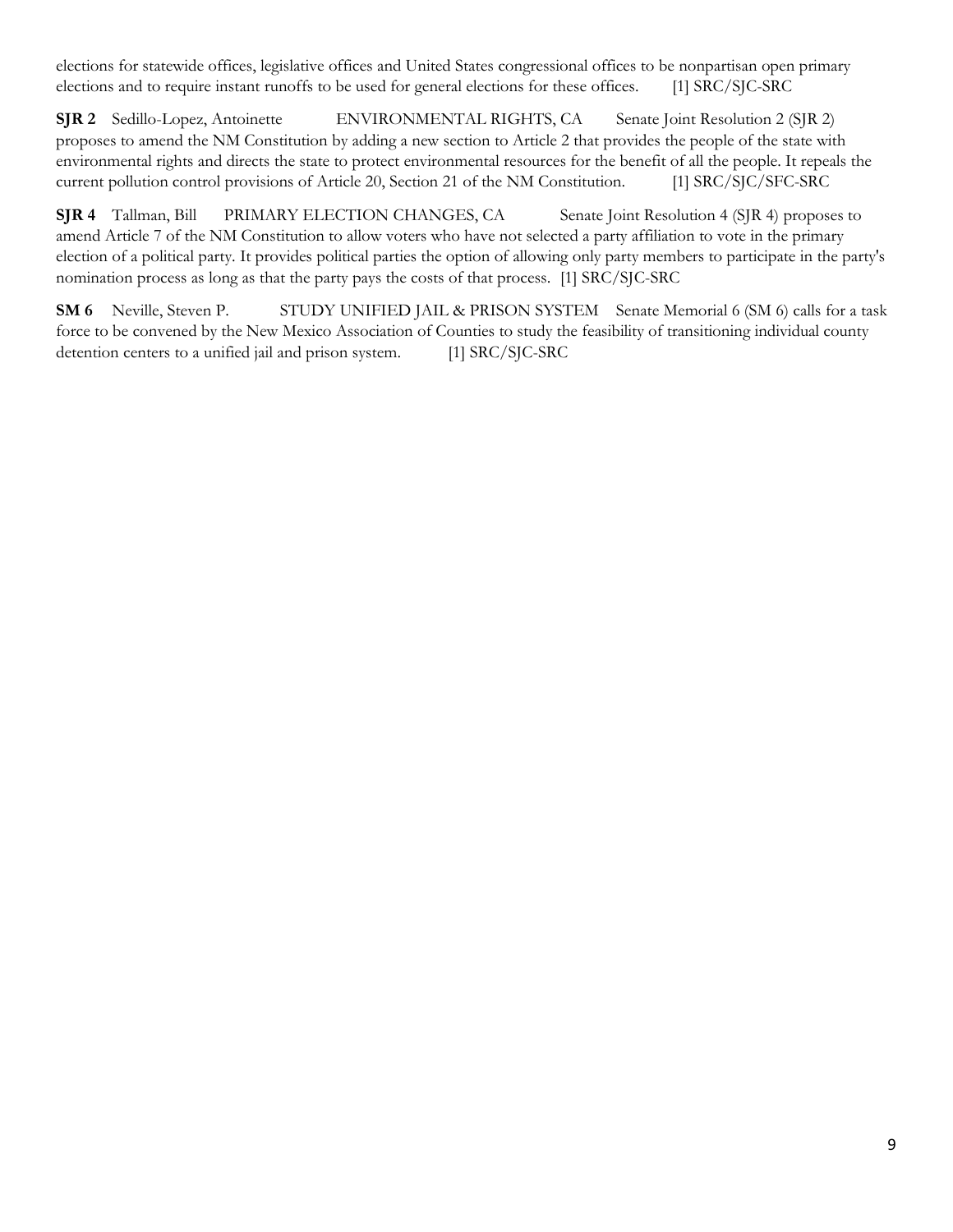elections for statewide offices, legislative offices and United States congressional offices to be nonpartisan open primary elections and to require instant runoffs to be used for general elections for these offices. [1] SRC/SJC-SRC

**SJR 2** Sedillo-Lopez, Antoinette ENVIRONMENTAL RIGHTS, CA Senate Joint Resolution 2 (SJR 2) proposes to amend the NM Constitution by adding a new section to Article 2 that provides the people of the state with environmental rights and directs the state to protect environmental resources for the benefit of all the people. It repeals the current pollution control provisions of Article 20, Section 21 of the NM Constitution. [1] SRC/SJC/SFC-SRC

**SJR 4** Tallman, Bill PRIMARY ELECTION CHANGES, CA Senate Joint Resolution 4 (SJR 4) proposes to amend Article 7 of the NM Constitution to allow voters who have not selected a party affiliation to vote in the primary election of a political party. It provides political parties the option of allowing only party members to participate in the party's nomination process as long as that the party pays the costs of that process. [1] SRC/SJC-SRC

**SM 6** Neville, Steven P. STUDY UNIFIED JAIL & PRISON SYSTEM Senate Memorial 6 (SM 6) calls for a task force to be convened by the New Mexico Association of Counties to study the feasibility of transitioning individual county detention centers to a unified jail and prison system. [1] SRC/SJC-SRC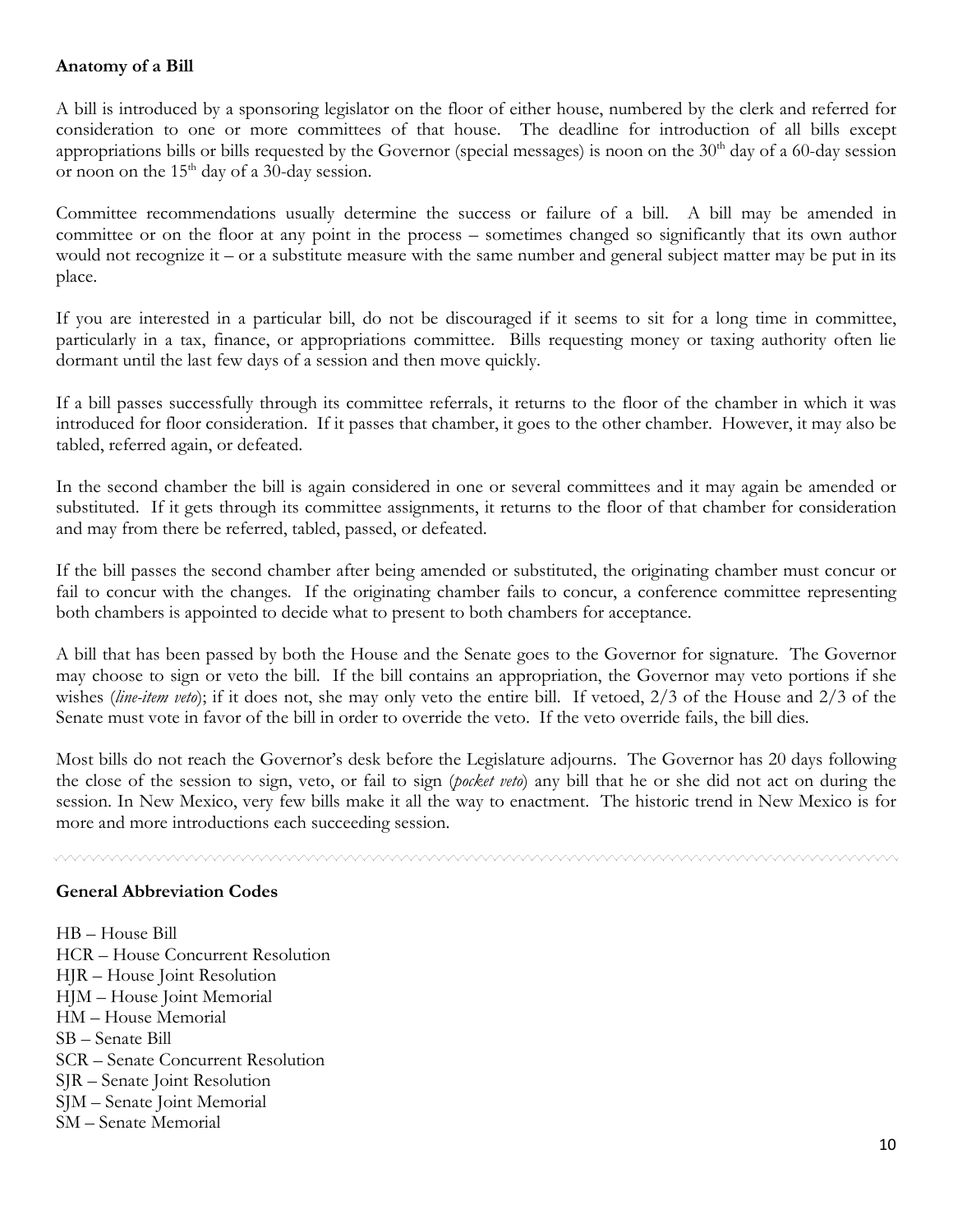## **Anatomy of a Bill**

A bill is introduced by a sponsoring legislator on the floor of either house, numbered by the clerk and referred for consideration to one or more committees of that house. The deadline for introduction of all bills except appropriations bills or bills requested by the Governor (special messages) is noon on the  $30<sup>th</sup>$  day of a 60-day session or noon on the 15<sup>th</sup> day of a 30-day session.

Committee recommendations usually determine the success or failure of a bill. A bill may be amended in committee or on the floor at any point in the process – sometimes changed so significantly that its own author would not recognize it – or a substitute measure with the same number and general subject matter may be put in its place.

If you are interested in a particular bill, do not be discouraged if it seems to sit for a long time in committee, particularly in a tax, finance, or appropriations committee. Bills requesting money or taxing authority often lie dormant until the last few days of a session and then move quickly.

If a bill passes successfully through its committee referrals, it returns to the floor of the chamber in which it was introduced for floor consideration. If it passes that chamber, it goes to the other chamber. However, it may also be tabled, referred again, or defeated.

In the second chamber the bill is again considered in one or several committees and it may again be amended or substituted. If it gets through its committee assignments, it returns to the floor of that chamber for consideration and may from there be referred, tabled, passed, or defeated.

If the bill passes the second chamber after being amended or substituted, the originating chamber must concur or fail to concur with the changes. If the originating chamber fails to concur, a conference committee representing both chambers is appointed to decide what to present to both chambers for acceptance.

A bill that has been passed by both the House and the Senate goes to the Governor for signature. The Governor may choose to sign or veto the bill. If the bill contains an appropriation, the Governor may veto portions if she wishes (*line-item veto*); if it does not, she may only veto the entire bill. If vetoed, 2/3 of the House and 2/3 of the Senate must vote in favor of the bill in order to override the veto. If the veto override fails, the bill dies.

Most bills do not reach the Governor's desk before the Legislature adjourns. The Governor has 20 days following the close of the session to sign, veto, or fail to sign (*pocket veto*) any bill that he or she did not act on during the session. In New Mexico, very few bills make it all the way to enactment. The historic trend in New Mexico is for more and more introductions each succeeding session.

#### **General Abbreviation Codes**

HB – House Bill HCR – House Concurrent Resolution HJR – House Joint Resolution HJM – House Joint Memorial HM – House Memorial SB – Senate Bill SCR – Senate Concurrent Resolution SJR – Senate Joint Resolution SJM – Senate Joint Memorial SM – Senate Memorial